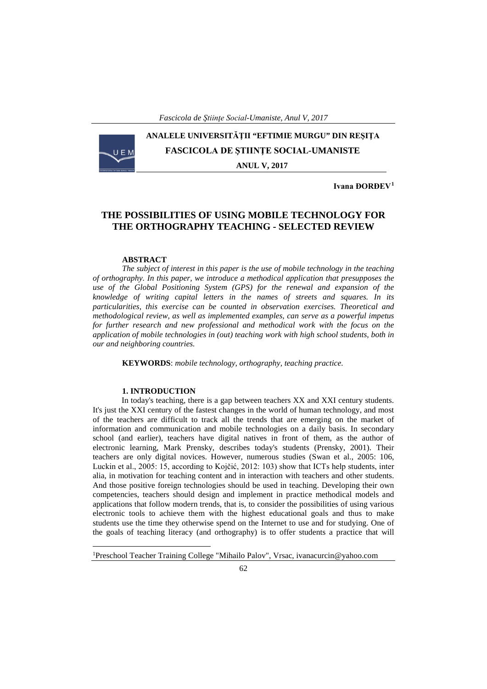# **ANALELE UNIVERSITĂŢII "EFTIMIE MURGU" DIN REŞIŢA FASCICOLA DE ŞTIINŢE SOCIAL-UMANISTE ANUL V, 2017**

**Ivana ĐORĐEV[1](#page-0-0)**

## **THE POSSIBILITIES OF USING MOBILE TECHNOLOGY FOR THE ORTHOGRAPHY TEACHING - SELECTED REVIEW**

#### **ABSTRACT**

*The subject of interest in this paper is the use of mobile technology in the teaching of orthography. In this paper, we introduce a methodical application that presupposes the use of the Global Positioning System (GPS) for the renewal and expansion of the knowledge of writing capital letters in the names of streets and squares. In its particularities, this exercise can be counted in observation exercises. Theoretical and methodological review, as well as implemented examples, can serve as a powerful impetus for further research and new professional and methodical work with the focus on the application of mobile technologies in (out) teaching work with high school students, both in our and neighboring countries.*

**KEYWORDS**: *mobile technology, orthography, teaching practice.*

#### **1. INTRODUCTION**

In today's teaching, there is a gap between teachers XX and XXI century students. It's just the XXI century of the fastest changes in the world of human technology, and most of the teachers are difficult to track all the trends that are emerging on the market of information and communication and mobile technologies on a daily basis. In secondary school (and earlier), teachers have digital natives in front of them, as the author of electronic learning, Mark Prensky, describes today's students (Prensky, 2001). Their teachers are only digital novices. However, numerous studies (Swan et al., 2005: 106, Luckin et al., 2005: 15, according to Kojčić, 2012: 103) show that ICTs help students, inter alia, in motivation for teaching content and in interaction with teachers and other students. And those positive foreign technologies should be used in teaching. Developing their own competencies, teachers should design and implement in practice methodical models and applications that follow modern trends, that is, to consider the possibilities of using various electronic tools to achieve them with the highest educational goals and thus to make students use the time they otherwise spend on the Internet to use and for studying. One of the goals of teaching literacy (and orthography) is to offer students a practice that will

<span id="page-0-0"></span> $\frac{1}{1}$ Preschool Teacher Training College "Mihailo Palov", Vrsac, ivanacurcin@yahoo.com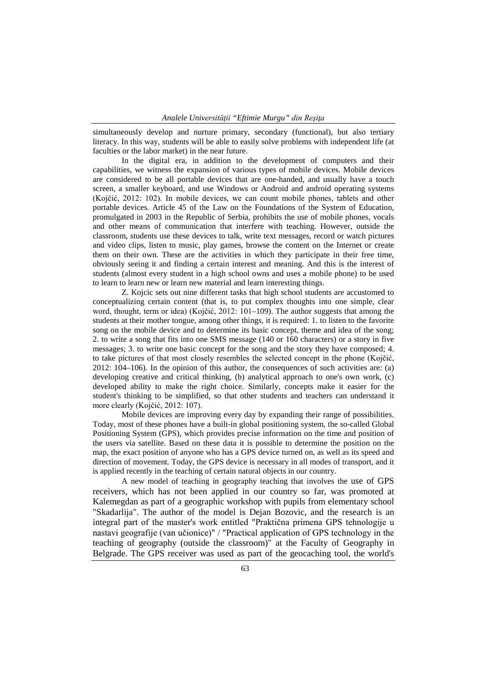simultaneously develop and nurture primary, secondary (functional), but also tertiary literacy. In this way, students will be able to easily solve problems with independent life (at faculties or the labor market) in the near future.

In the digital era, in addition to the development of computers and their capabilities, we witness the expansion of various types of mobile devices. Mobile devices are considered to be all portable devices that are one-handed, and usually have a touch screen, a smaller keyboard, and use Windows or Android and android operating systems (Kojčić, 2012: 102). In mobile devices, we can count mobile phones, tablets and other portable devices. Article 45 of the Law on the Foundations of the System of Education, promulgated in 2003 in the Republic of Serbia, prohibits the use of mobile phones, vocals and other means of communication that interfere with teaching. However, outside the classroom, students use these devices to talk, write text messages, record or watch pictures and video clips, listen to music, play games, browse the content on the Internet or create them on their own. These are the activities in which they participate in their free time, obviously seeing it and finding a certain interest and meaning. And this is the interest of students (almost every student in a high school owns and uses a mobile phone) to be used to learn to learn new or learn new material and learn interesting things.

Z. Kojcic sets out nine different tasks that high school students are accustomed to conceptualizing certain content (that is, to put complex thoughts into one simple, clear word, thought, term or idea) (Kojčić, 2012: 101–109). The author suggests that among the students at their mother tongue, among other things, it is required: 1. to listen to the favorite song on the mobile device and to determine its basic concept, theme and idea of the song; 2. to write a song that fits into one SMS message (140 or 160 characters) or a story in five messages; 3. to write one basic concept for the song and the story they have composed; 4. to take pictures of that most closely resembles the selected concept in the phone (Kojčić, 2012: 104–106). In the opinion of this author, the consequences of such activities are: (a) developing creative and critical thinking, (b) analytical approach to one's own work, (c) developed ability to make the right choice. Similarly, concepts make it easier for the student's thinking to be simplified, so that other students and teachers can understand it more clearly (Kojčić, 2012: 107).

Mobile devices are improving every day by expanding their range of possibilities. Today, most of these phones have a built-in global positioning system, the so-called Global Positioning System (GPS), which provides precise information on the time and position of the users via satellite. Based on these data it is possible to determine the position on the map, the exact position of anyone who has a GPS device turned on, as well as its speed and direction of movement. Today, the GPS device is necessary in all modes of transport, and it is applied recently in the teaching of certain natural objects in our country.

A new model of teaching in geography teaching that involves the use of GPS receivers, which has not been applied in our country so far, was promoted at Kalemegdan as part of a geographic workshop with pupils from elementary school "Skadarlija". The author of the model is Dejan Bozovic, and the research is an integral part of the master's work entitled "Praktična primena GPS tehnologije u nastavi geografije (van učionice)" / "Practical application of GPS technology in the teaching of geography (outside the classroom)" at the Faculty of Geography in Belgrade. The GPS receiver was used as part of the geocaching tool, the world's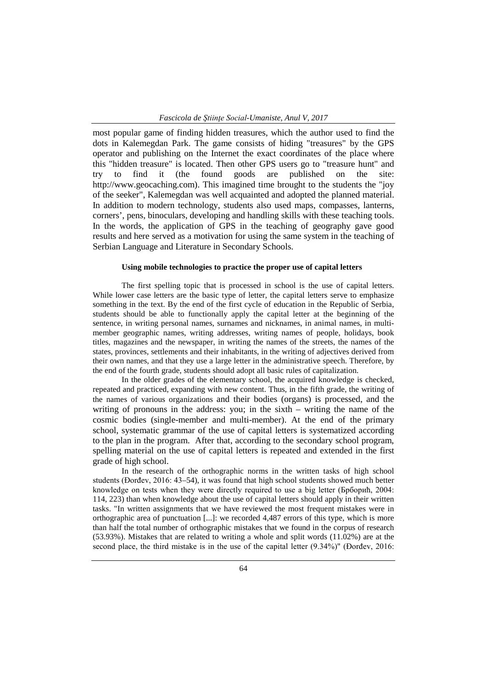most popular game of finding hidden treasures, which the author used to find the dots in Kalemegdan Park. The game consists of hiding "treasures" by the GPS operator and publishing on the Internet the exact coordinates of the place where this "hidden treasure" is located. Then other GPS users go to "treasure hunt" and try to find it (the found goods are published on the site: http://www.geocaching.com). This imagined time brought to the students the "joy of the seeker", Kalemegdan was well acquainted and adopted the planned material. In addition to modern technology, students also used maps, compasses, lanterns, corners', pens, binoculars, developing and handling skills with these teaching tools. In the words, the application of GPS in the teaching of geography gave good results and here served as a motivation for using the same system in the teaching of Serbian Language and Literature in Secondary Schools.

### **Using mobile technologies to practice the proper use of capital letters**

The first spelling topic that is processed in school is the use of capital letters. While lower case letters are the basic type of letter, the capital letters serve to emphasize something in the text. By the end of the first cycle of education in the Republic of Serbia, students should be able to functionally apply the capital letter at the beginning of the sentence, in writing personal names, surnames and nicknames, in animal names, in multimember geographic names, writing addresses, writing names of people, holidays, book titles, magazines and the newspaper, in writing the names of the streets, the names of the states, provinces, settlements and their inhabitants, in the writing of adjectives derived from their own names, and that they use a large letter in the administrative speech. Therefore, by the end of the fourth grade, students should adopt all basic rules of capitalization.

In the older grades of the elementary school, the acquired knowledge is checked, repeated and practiced, expanding with new content. Thus, in the fifth grade, the writing of the names of various organizations and their bodies (organs) is processed, and the writing of pronouns in the address: you; in the sixth – writing the name of the cosmic bodies (single-member and multi-member). At the end of the primary school, systematic grammar of the use of capital letters is systematized according to the plan in the program. After that, according to the secondary school program, spelling material on the use of capital letters is repeated and extended in the first grade of high school.

In the research of the orthographic norms in the written tasks of high school students (Đorđev, 2016: 43–54), it was found that high school students showed much better knowledge on tests when they were directly required to use a big letter (Брборић, 2004: 114, 223) than when knowledge about the use of capital letters should apply in their written tasks. "In written assignments that we have reviewed the most frequent mistakes were in orthographic area of punctuation [...]: we recorded 4,487 errors of this type, which is more than half the total number of orthographic mistakes that we found in the corpus of research (53.93%). Mistakes that are related to writing a whole and split words (11.02%) are at the second place, the third mistake is in the use of the capital letter (9.34%)" (Đorđev, 2016: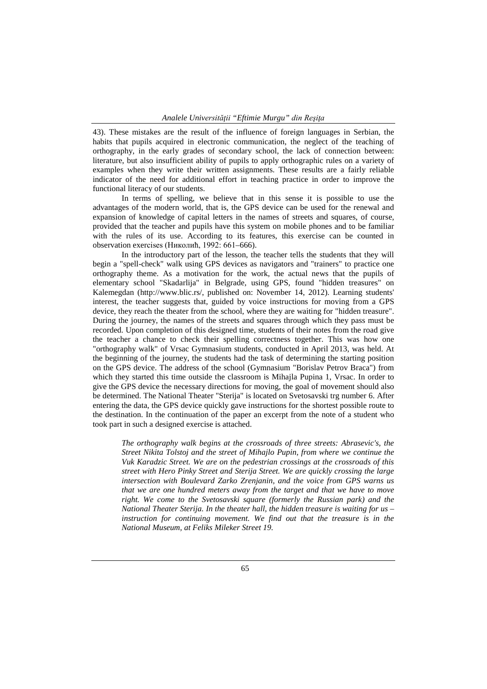43). These mistakes are the result of the influence of foreign languages in Serbian, the habits that pupils acquired in electronic communication, the neglect of the teaching of orthography, in the early grades of secondary school, the lack of connection between: literature, but also insufficient ability of pupils to apply orthographic rules on a variety of examples when they write their written assignments. These results are a fairly reliable indicator of the need for additional effort in teaching practice in order to improve the functional literacy of our students.

In terms of spelling, we believe that in this sense it is possible to use the advantages of the modern world, that is, the GPS device can be used for the renewal and expansion of knowledge of capital letters in the names of streets and squares, of course, provided that the teacher and pupils have this system on mobile phones and to be familiar with the rules of its use. According to its features, this exercise can be counted in observation exercises (Николић, 1992: 661–666).

In the introductory part of the lesson, the teacher tells the students that they will begin a "spell-check" walk using GPS devices as navigators and "trainers" to practice one orthography theme. As a motivation for the work, the actual news that the pupils of elementary school "Skadarlija" in Belgrade, using GPS, found "hidden treasures" on Kalemegdan (http://www.blic.rs/, published on: November 14, 2012). Learning students' interest, the teacher suggests that, guided by voice instructions for moving from a GPS device, they reach the theater from the school, where they are waiting for "hidden treasure". During the journey, the names of the streets and squares through which they pass must be recorded. Upon completion of this designed time, students of their notes from the road give the teacher a chance to check their spelling correctness together. This was how one "orthography walk" of Vrsac Gymnasium students, conducted in April 2013, was held. At the beginning of the journey, the students had the task of determining the starting position on the GPS device. The address of the school (Gymnasium "Borislav Petrov Braca") from which they started this time outside the classroom is Mihajla Pupina 1, Vrsac. In order to give the GPS device the necessary directions for moving, the goal of movement should also be determined. The National Theater "Sterija" is located on Svetosavski trg number 6. After entering the data, the GPS device quickly gave instructions for the shortest possible route to the destination. In the continuation of the paper an excerpt from the note of a student who took part in such a designed exercise is attached.

*The orthography walk begins at the crossroads of three streets: Abrasevic's, the Street Nikita Tolstoj and the street of Mihajlo Pupin, from where we continue the Vuk Karadzic Street. We are on the pedestrian crossings at the crossroads of this street with Hero Pinky Street and Sterija Street. We are quickly crossing the large intersection with Boulevard Zarko Zrenjanin, and the voice from GPS warns us that we are one hundred meters away from the target and that we have to move right. We come to the Svetosavski square (formerly the Russian park) and the National Theater Sterija. In the theater hall, the hidden treasure is waiting for us –* instruction for continuing movement. We find out that the treasure is in the *National Museum, at Feliks Mileker Street 19.*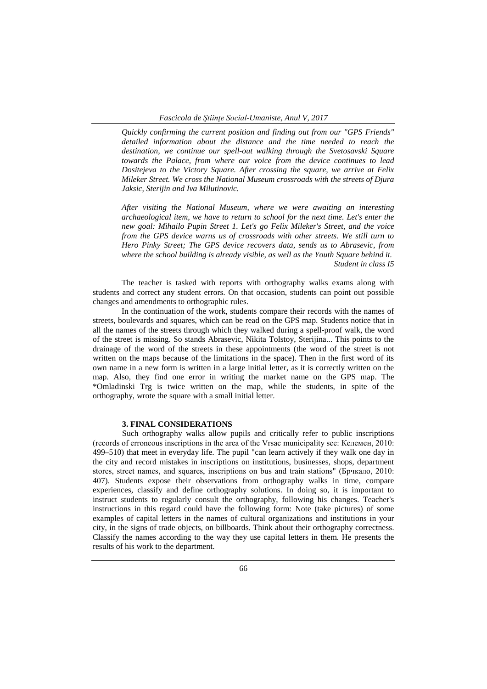*Quickly confirming the current position and finding out from our "GPS Friends" detailed information about the distance and the time needed to reach the destination, we continue our spell-out walking through the Svetosavski Square towards the Palace, from where our voice from the device continues to lead Dositejeva to the Victory Square. After crossing the square, we arrive at Felix Mileker Street. We cross the National Museum crossroads with the streets of Djura Jaksic, Sterijin and Iva Milutinovic.*

*After visiting the National Museum, where we were awaiting an interesting archaeological item, we have to return to school for the next time. Let's enter the new goal: Mihailo Pupin Street 1. Let's go Felix Mileker's Street, and the voice from the GPS device warns us of crossroads with other streets. We still turn to Hero Pinky Street; The GPS device recovers data, sends us to Abrasevic, from where the school building is already visible, as well as the Youth Square behind it. Student in class I5*

The teacher is tasked with reports with orthography walks exams along with students and correct any student errors. On that occasion, students can point out possible changes and amendments to orthographic rules.

In the continuation of the work, students compare their records with the names of streets, boulevards and squares, which can be read on the GPS map. Students notice that in all the names of the streets through which they walked during a spell-proof walk, the word of the street is missing. So stands Abrasevic, Nikita Tolstoy, Sterijina... This points to the drainage of the word of the streets in these appointments (the word of the street is not written on the maps because of the limitations in the space). Then in the first word of its own name in a new form is written in a large initial letter, as it is correctly written on the map. Also, they find one error in writing the market name on the GPS map. The \*Omladinski Trg is twice written on the map, while the students, in spite of the orthography, wrote the square with a small initial letter.

#### **3. FINAL CONSIDERATIONS**

Such orthography walks allow pupils and critically refer to public inscriptions (records of erroneous inscriptions in the area of the Vrsac municipality see: Келемен, 2010: 499–510) that meet in everyday life. The pupil "can learn actively if they walk one day in the city and record mistakes in inscriptions on institutions, businesses, shops, department stores, street names, and squares, inscriptions on bus and train stations" (Брчкало, 2010; 407). Students expose their observations from orthography walks in time, compare experiences, classify and define orthography solutions. In doing so, it is important to instruct students to regularly consult the orthography, following his changes. Teacher's instructions in this regard could have the following form: Note (take pictures) of some examples of capital letters in the names of cultural organizations and institutions in your city, in the signs of trade objects, on billboards. Think about their orthography correctness. Classify the names according to the way they use capital letters in them. He presents the results of his work to the department.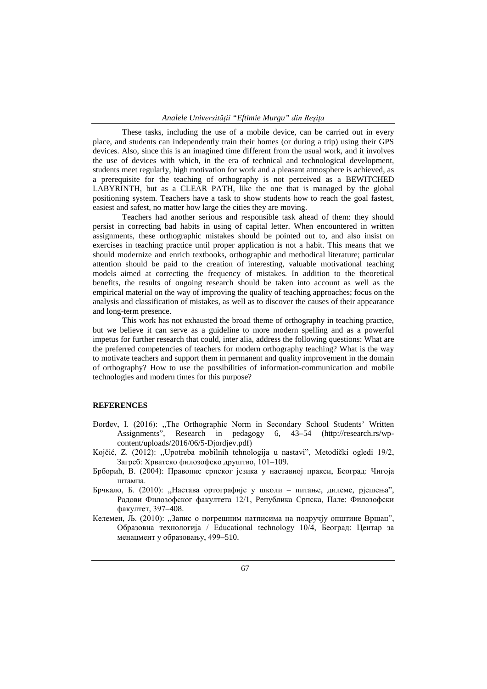These tasks, including the use of a mobile device, can be carried out in every place, and students can independently train their homes (or during a trip) using their GPS devices. Also, since this is an imagined time different from the usual work, and it involves the use of devices with which, in the era of technical and technological development, students meet regularly, high motivation for work and a pleasant atmosphere is achieved, as a prerequisite for the teaching of orthography is not perceived as a BEWITCHED LABYRINTH, but as a CLEAR PATH, like the one that is managed by the global positioning system. Teachers have a task to show students how to reach the goal fastest, easiest and safest, no matter how large the cities they are moving.

Teachers had another serious and responsible task ahead of them: they should persist in correcting bad habits in using of capital letter. When encountered in written assignments, these orthographic mistakes should be pointed out to, and also insist on exercises in teaching practice until proper application is not a habit. This means that we should modernize and enrich textbooks, orthographic and methodical literature; particular attention should be paid to the creation of interesting, valuable motivational teaching models aimed at correcting the frequency of mistakes. In addition to the theoretical benefits, the results of ongoing research should be taken into account as well as the empirical material on the way of improving the quality of teaching approaches; focus on the analysis and classification of mistakes, as well as to discover the causes of their appearance and long-term presence.

This work has not exhausted the broad theme of orthography in teaching practice, but we believe it can serve as a guideline to more modern spelling and as a powerful impetus for further research that could, inter alia, address the following questions: What are the preferred competencies of teachers for modern orthography teaching? What is the way to motivate teachers and support them in permanent and quality improvement in the domain of orthography? How to use the possibilities of information-communication and mobile technologies and modern times for this purpose?

#### **REFERENCES**

- Đorđev, I. (2016): ,,The Orthographic Norm in Secondary School Students' Written Assignments", Research in pedagogy 6, 43–54 (http://research.rs/wpcontent/uploads/2016/06/5-Djordjev.pdf)
- Kojčić, Z. (2012): ,,Upotreba mobilnih tehnologija u nastavi", Metodički ogledi 19/2, Загреб: Хрватско филозофско друштво, 101–109.
- Брборић, В. (2004): Правопис српског језика у наставној пракси, Београд: Чигоја штампа.
- Брчкало, Б. (2010): ,,Настава ортографије у школи питање, дилеме, рјешења", Радови Филозофског факултета 12/1, Република Српска, Пале: Филозофски факултет, 397–408.
- Келемен, Љ. (2010): ,,Запис о погрешним натписима на подручју општине Вршац", Образовна технологија / Educational technology 10/4, Београд: Центар за менаџмент у образовању, 499–510.